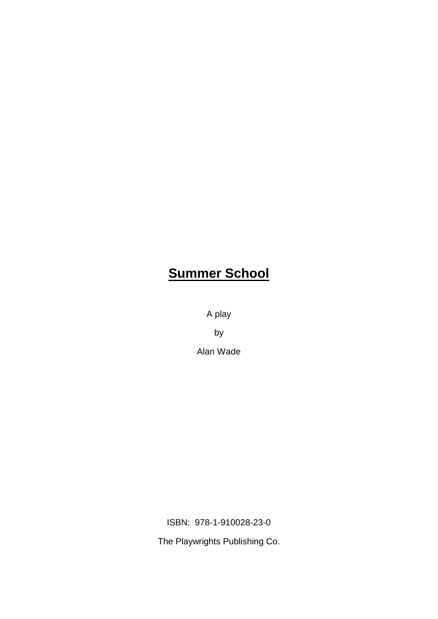# **Summer School**

A play

by

Alan Wade

ISBN: 978-1-910028-23-0

The Playwrights Publishing Co.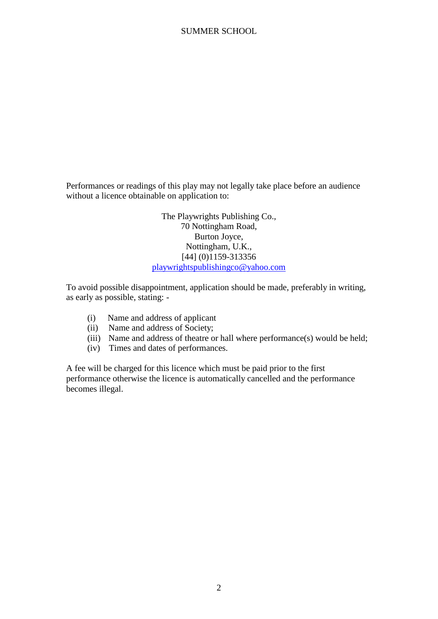Performances or readings of this play may not legally take place before an audience without a licence obtainable on application to:

> The Playwrights Publishing Co., 70 Nottingham Road, Burton Joyce, Nottingham, U.K., [44] (0)1159-313356 playwrightspublishingco@yahoo.com

To avoid possible disappointment, application should be made, preferably in writing, as early as possible, stating: -

- (i) Name and address of applicant
- (ii) Name and address of Society;
- (iii) Name and address of theatre or hall where performance(s) would be held;
- (iv) Times and dates of performances.

A fee will be charged for this licence which must be paid prior to the first performance otherwise the licence is automatically cancelled and the performance becomes illegal.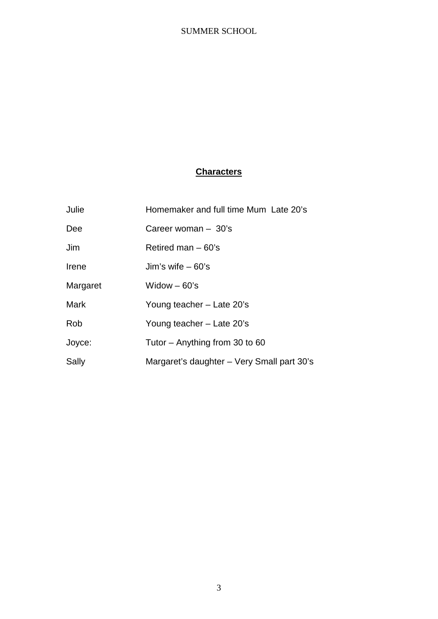# **Characters**

| Julie       | Homemaker and full time Mum Late 20's      |
|-------------|--------------------------------------------|
| Dee         | Career woman $-30$ 's                      |
| Jim         | Retired man $-60$ 's                       |
| Irene       | Jim's wife $-60$ 's                        |
| Margaret    | Widow $-60$ 's                             |
| <b>Mark</b> | Young teacher – Late 20's                  |
| <b>Rob</b>  | Young teacher – Late 20's                  |
| Joyce:      | Tutor $-$ Anything from 30 to 60           |
| Sally       | Margaret's daughter – Very Small part 30's |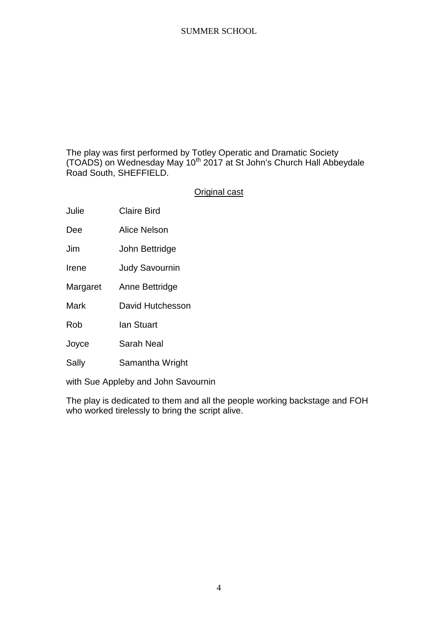The play was first performed by Totley Operatic and Dramatic Society (TOADS) on Wednesday May 10<sup>th</sup> 2017 at St John's Church Hall Abbeydale Road South, SHEFFIELD.

# Original cast

Julie Claire Bird

Dee Alice Nelson

Jim John Bettridge

Irene Judy Savournin

Margaret Anne Bettridge

Mark David Hutchesson

Rob Ian Stuart

Joyce Sarah Neal

Sally Samantha Wright

with Sue Appleby and John Savournin

The play is dedicated to them and all the people working backstage and FOH who worked tirelessly to bring the script alive.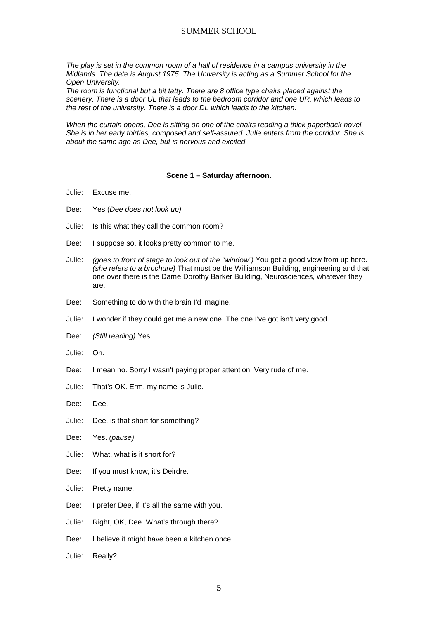*The play is set in the common room of a hall of residence in a campus university in the Midlands. The date is August 1975. The University is acting as a Summer School for the Open University.*

*The room is functional but a bit tatty. There are 8 office type chairs placed against the scenery. There is a door UL that leads to the bedroom corridor and one UR, which leads to the rest of the university. There is a door DL which leads to the kitchen.*

*When the curtain opens, Dee is sitting on one of the chairs reading a thick paperback novel. She is in her early thirties, composed and self-assured. Julie enters from the corridor. She is about the same age as Dee, but is nervous and excited.*

#### **Scene 1 – Saturday afternoon.**

- Julie: Excuse me.
- Dee: Yes (*Dee does not look up)*
- Julie: Is this what they call the common room?
- Dee: I suppose so, it looks pretty common to me.
- Julie: *(goes to front of stage to look out of the "window")* You get a good view from up here. *(she refers to a brochure)* That must be the Williamson Building, engineering and that one over there is the Dame Dorothy Barker Building, Neurosciences, whatever they are.
- Dee: Something to do with the brain I'd imagine.
- Julie: I wonder if they could get me a new one. The one I've got isn't very good.
- Dee: *(Still reading)* Yes
- Julie: Oh.
- Dee: I mean no. Sorry I wasn't paying proper attention. Very rude of me.
- Julie: That's OK. Erm, my name is Julie.
- Dee: Dee.
- Julie: Dee, is that short for something?
- Dee: Yes. *(pause)*
- Julie: What, what is it short for?
- Dee: If you must know, it's Deirdre.
- Julie: Pretty name.
- Dee: I prefer Dee, if it's all the same with you.
- Julie: Right, OK, Dee. What's through there?
- Dee: I believe it might have been a kitchen once.
- Julie: Really?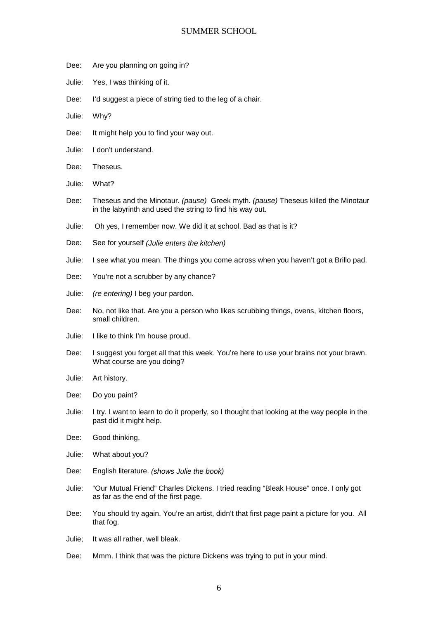- Dee: Are you planning on going in?
- Julie: Yes, I was thinking of it.
- Dee: I'd suggest a piece of string tied to the leg of a chair.
- Julie: Why?
- Dee: It might help you to find your way out.
- Julie: I don't understand.
- Dee: Theseus.
- Julie: What?
- Dee: Theseus and the Minotaur. *(pause)* Greek myth. *(pause)* Theseus killed the Minotaur in the labyrinth and used the string to find his way out.
- Julie: Oh yes, I remember now. We did it at school. Bad as that is it?
- Dee: See for yourself *(Julie enters the kitchen)*
- Julie: I see what you mean. The things you come across when you haven't got a Brillo pad.
- Dee: You're not a scrubber by any chance?
- Julie: *(re entering)* I beg your pardon.
- Dee: No, not like that. Are you a person who likes scrubbing things, ovens, kitchen floors, small children.
- Julie: I like to think I'm house proud.
- Dee: I suggest you forget all that this week. You're here to use your brains not your brawn. What course are you doing?
- Julie: Art history.
- Dee: Do you paint?
- Julie: I try. I want to learn to do it properly, so I thought that looking at the way people in the past did it might help.
- Dee: Good thinking.
- Julie: What about you?
- Dee: English literature. *(shows Julie the book)*
- Julie: "Our Mutual Friend" Charles Dickens. I tried reading "Bleak House" once. I only got as far as the end of the first page.
- Dee: You should try again. You're an artist, didn't that first page paint a picture for you. All that fog.
- Julie; It was all rather, well bleak.
- Dee: Mmm. I think that was the picture Dickens was trying to put in your mind.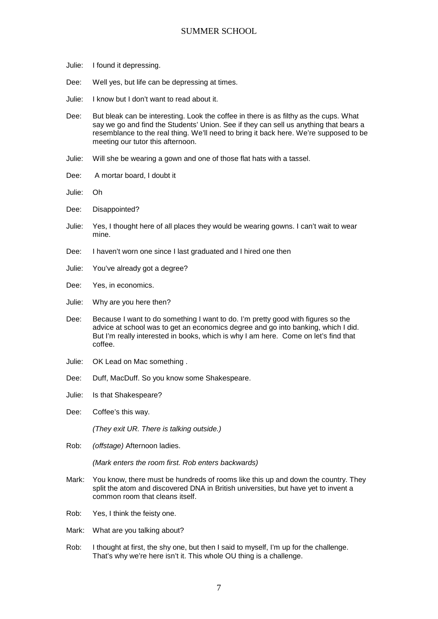- Julie: I found it depressing.
- Dee: Well yes, but life can be depressing at times.
- Julie: I know but I don't want to read about it.
- Dee: But bleak can be interesting. Look the coffee in there is as filthy as the cups. What say we go and find the Students' Union. See if they can sell us anything that bears a resemblance to the real thing. We'll need to bring it back here. We're supposed to be meeting our tutor this afternoon.
- Julie: Will she be wearing a gown and one of those flat hats with a tassel.
- Dee: A mortar board, I doubt it
- Julie: Oh
- Dee: Disappointed?
- Julie: Yes, I thought here of all places they would be wearing gowns. I can't wait to wear mine.
- Dee: I haven't worn one since I last graduated and I hired one then
- Julie: You've already got a degree?
- Dee: Yes, in economics.
- Julie: Why are you here then?
- Dee: Because I want to do something I want to do. I'm pretty good with figures so the advice at school was to get an economics degree and go into banking, which I did. But I'm really interested in books, which is why I am here. Come on let's find that coffee.
- Julie: OK Lead on Mac something .
- Dee: Duff, MacDuff. So you know some Shakespeare.
- Julie: Is that Shakespeare?
- Dee: Coffee's this way.

*(They exit UR. There is talking outside.)*

Rob: *(offstage)* Afternoon ladies.

*(Mark enters the room first. Rob enters backwards)*

- Mark: You know, there must be hundreds of rooms like this up and down the country. They split the atom and discovered DNA in British universities, but have yet to invent a common room that cleans itself.
- Rob: Yes, I think the feisty one.
- Mark: What are you talking about?
- Rob: I thought at first, the shy one, but then I said to myself, I'm up for the challenge. That's why we're here isn't it. This whole OU thing is a challenge.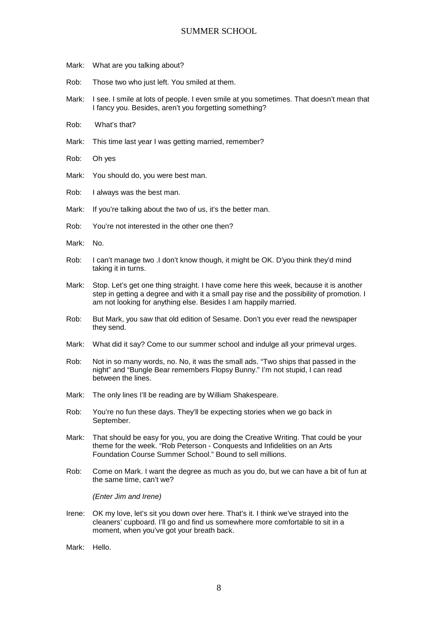- Mark: What are you talking about?
- Rob: Those two who just left. You smiled at them.
- Mark: I see. I smile at lots of people. I even smile at you sometimes. That doesn't mean that I fancy you. Besides, aren't you forgetting something?
- Rob: What's that?
- Mark: This time last year I was getting married, remember?
- Rob: Oh yes
- Mark: You should do, you were best man.
- Rob: I always was the best man.
- Mark: If you're talking about the two of us, it's the better man.
- Rob: You're not interested in the other one then?
- Mark: No.
- Rob: I can't manage two .I don't know though, it might be OK. D'you think they'd mind taking it in turns.
- Mark: Stop. Let's get one thing straight. I have come here this week, because it is another step in getting a degree and with it a small pay rise and the possibility of promotion. I am not looking for anything else. Besides I am happily married.
- Rob: But Mark, you saw that old edition of Sesame. Don't you ever read the newspaper they send.
- Mark: What did it say? Come to our summer school and indulge all your primeval urges.
- Rob: Not in so many words, no. No, it was the small ads. "Two ships that passed in the night" and "Bungle Bear remembers Flopsy Bunny." I'm not stupid, I can read between the lines.
- Mark: The only lines I'll be reading are by William Shakespeare.
- Rob: You're no fun these days. They'll be expecting stories when we go back in September.
- Mark: That should be easy for you, you are doing the Creative Writing. That could be your theme for the week. "Rob Peterson - Conquests and Infidelities on an Arts Foundation Course Summer School." Bound to sell millions.
- Rob: Come on Mark. I want the degree as much as you do, but we can have a bit of fun at the same time, can't we?

*(Enter Jim and Irene)*

- Irene: OK my love, let's sit you down over here. That's it. I think we've strayed into the cleaners' cupboard. I'll go and find us somewhere more comfortable to sit in a moment, when you've got your breath back.
- Mark: Hello.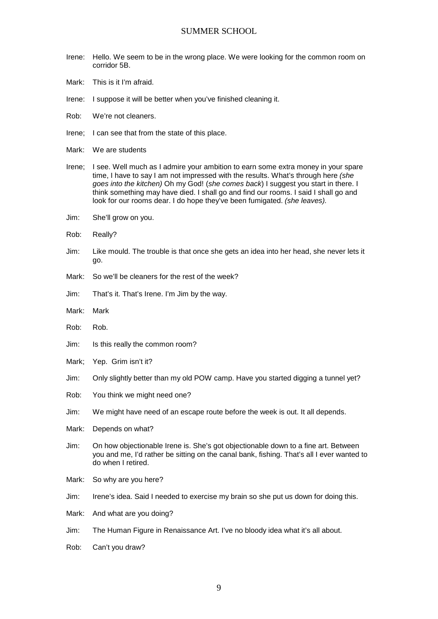- Irene: Hello. We seem to be in the wrong place. We were looking for the common room on corridor 5B.
- Mark: This is it I'm afraid.
- Irene: I suppose it will be better when you've finished cleaning it.
- Rob: We're not cleaners.
- Irene; I can see that from the state of this place.
- Mark: We are students
- Irene; I see. Well much as I admire your ambition to earn some extra money in your spare time, I have to say I am not impressed with the results. What's through here *(she goes into the kitchen)* Oh my God! (*she comes back*) I suggest you start in there. I think something may have died. I shall go and find our rooms. I said I shall go and look for our rooms dear. I do hope they've been fumigated. *(she leaves).*
- Jim: She'll grow on you.
- Rob: Really?
- Jim: Like mould. The trouble is that once she gets an idea into her head, she never lets it go.
- Mark: So we'll be cleaners for the rest of the week?
- Jim: That's it. That's Irene. I'm Jim by the way.
- Mark: Mark
- Rob: Rob.
- Jim: Is this really the common room?
- Mark; Yep. Grim isn't it?
- Jim: Only slightly better than my old POW camp. Have you started digging a tunnel yet?
- Rob: You think we might need one?
- Jim: We might have need of an escape route before the week is out. It all depends.
- Mark: Depends on what?
- Jim: On how objectionable Irene is. She's got objectionable down to a fine art. Between you and me, I'd rather be sitting on the canal bank, fishing. That's all I ever wanted to do when I retired.
- Mark: So why are you here?
- Jim: Irene's idea. Said I needed to exercise my brain so she put us down for doing this.
- Mark: And what are you doing?
- Jim: The Human Figure in Renaissance Art. I've no bloody idea what it's all about.
- Rob: Can't you draw?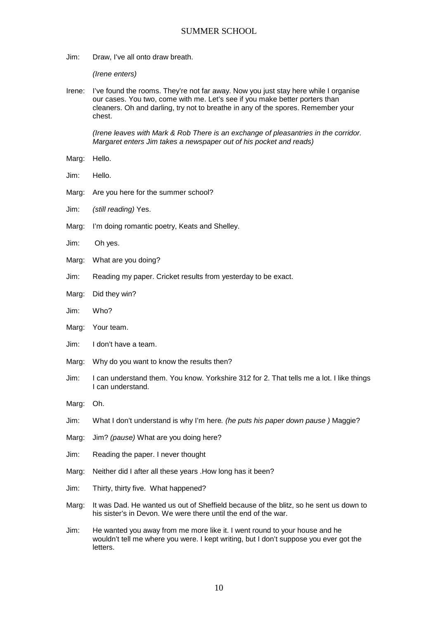Jim: Draw, I've all onto draw breath.

*(Irene enters)*

Irene: I've found the rooms. They're not far away. Now you just stay here while I organise our cases. You two, come with me. Let's see if you make better porters than cleaners. Oh and darling, try not to breathe in any of the spores. Remember your chest.

*(Irene leaves with Mark & Rob There is an exchange of pleasantries in the corridor. Margaret enters Jim takes a newspaper out of his pocket and reads)*

- Marg: Hello.
- Jim: Hello.
- Marg: Are you here for the summer school?
- Jim: *(still reading)* Yes.
- Marg: I'm doing romantic poetry, Keats and Shelley.
- Jim: Oh yes.
- Marg: What are you doing?
- Jim: Reading my paper. Cricket results from yesterday to be exact.
- Marg: Did they win?
- Jim: Who?
- Marg: Your team.
- Jim: I don't have a team.
- Marg: Why do you want to know the results then?
- Jim: I can understand them. You know. Yorkshire 312 for 2. That tells me a lot. I like things I can understand.
- Marg: Oh.
- Jim: What I don't understand is why I'm here*. (he puts his paper down pause )* Maggie?
- Marg: Jim? *(pause)* What are you doing here?
- Jim: Reading the paper. I never thought
- Marg: Neither did I after all these years .How long has it been?
- Jim: Thirty, thirty five. What happened?
- Marg: It was Dad. He wanted us out of Sheffield because of the blitz, so he sent us down to his sister's in Devon. We were there until the end of the war.
- Jim: He wanted you away from me more like it. I went round to your house and he wouldn't tell me where you were. I kept writing, but I don't suppose you ever got the letters.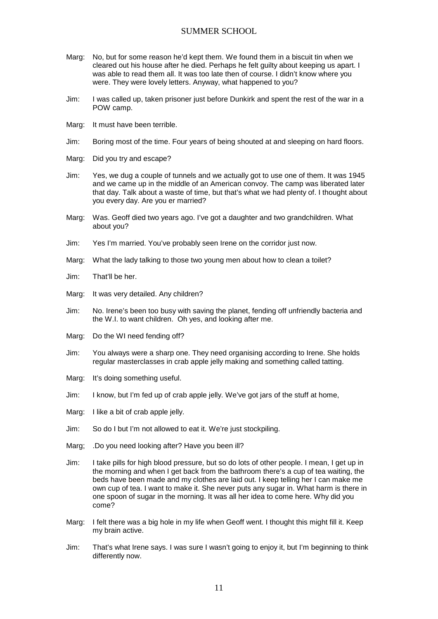- Marg: No, but for some reason he'd kept them. We found them in a biscuit tin when we cleared out his house after he died. Perhaps he felt guilty about keeping us apart. I was able to read them all. It was too late then of course. I didn't know where you were. They were lovely letters. Anyway, what happened to you?
- Jim: I was called up, taken prisoner just before Dunkirk and spent the rest of the war in a POW camp.
- Marg: It must have been terrible.
- Jim: Boring most of the time. Four years of being shouted at and sleeping on hard floors.
- Marg: Did you try and escape?
- Jim: Yes, we dug a couple of tunnels and we actually got to use one of them. It was 1945 and we came up in the middle of an American convoy. The camp was liberated later that day. Talk about a waste of time, but that's what we had plenty of. I thought about you every day. Are you er married?
- Marg: Was. Geoff died two years ago. I've got a daughter and two grandchildren. What about you?
- Jim: Yes I'm married. You've probably seen Irene on the corridor just now.
- Marg: What the lady talking to those two young men about how to clean a toilet?
- Jim: That'll be her.
- Marg: It was very detailed. Any children?
- Jim: No. Irene's been too busy with saving the planet, fending off unfriendly bacteria and the W.I. to want children. Oh yes, and looking after me.
- Marg: Do the WI need fending off?
- Jim: You always were a sharp one. They need organising according to Irene. She holds regular masterclasses in crab apple jelly making and something called tatting.
- Marg: It's doing something useful.
- Jim: I know, but I'm fed up of crab apple jelly. We've got jars of the stuff at home,
- Marg: I like a bit of crab apple jelly.
- Jim: So do I but I'm not allowed to eat it. We're just stockpiling.
- Marg; .Do you need looking after? Have you been ill?
- Jim: I take pills for high blood pressure, but so do lots of other people. I mean, I get up in the morning and when I get back from the bathroom there's a cup of tea waiting, the beds have been made and my clothes are laid out. I keep telling her I can make me own cup of tea. I want to make it. She never puts any sugar in. What harm is there in one spoon of sugar in the morning. It was all her idea to come here. Why did you come?
- Marg: I felt there was a big hole in my life when Geoff went. I thought this might fill it. Keep my brain active.
- Jim: That's what Irene says. I was sure I wasn't going to enjoy it, but I'm beginning to think differently now.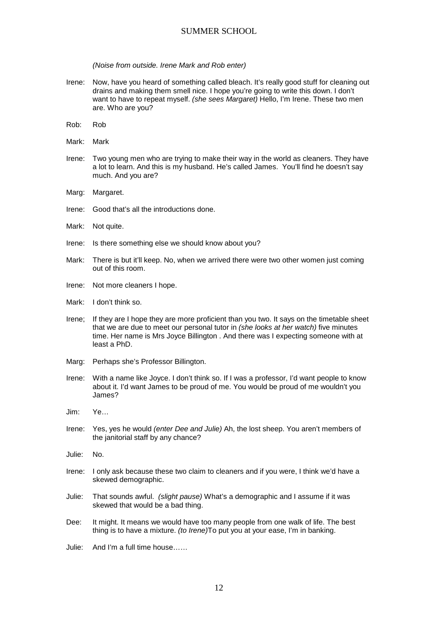#### *(Noise from outside. Irene Mark and Rob enter)*

- Irene: Now, have you heard of something called bleach. It's really good stuff for cleaning out drains and making them smell nice. I hope you're going to write this down. I don't want to have to repeat myself. *(she sees Margaret)* Hello, I'm Irene. These two men are. Who are you?
- Rob: Rob
- Mark: Mark
- Irene: Two young men who are trying to make their way in the world as cleaners. They have a lot to learn. And this is my husband. He's called James. You'll find he doesn't say much. And you are?
- Marg: Margaret.
- Irene: Good that's all the introductions done.
- Mark: Not quite.
- Irene: Is there something else we should know about you?
- Mark: There is but it'll keep. No, when we arrived there were two other women just coming out of this room.
- Irene: Not more cleaners I hope.
- Mark: I don't think so.
- Irene; If they are I hope they are more proficient than you two. It says on the timetable sheet that we are due to meet our personal tutor in *(she looks at her watch)* five minutes time. Her name is Mrs Joyce Billington . And there was I expecting someone with at least a PhD.
- Marg: Perhaps she's Professor Billington.
- Irene: With a name like Joyce. I don't think so. If I was a professor, I'd want people to know about it. I'd want James to be proud of me. You would be proud of me wouldn't you James?
- Jim: Ye…
- Irene: Yes, yes he would *(enter Dee and Julie)* Ah, the lost sheep. You aren't members of the janitorial staff by any chance?
- Julie: No.
- Irene: I only ask because these two claim to cleaners and if you were, I think we'd have a skewed demographic.
- Julie: That sounds awful. *(slight pause)* What's a demographic and I assume if it was skewed that would be a bad thing.
- Dee: It might. It means we would have too many people from one walk of life. The best thing is to have a mixture. *(to Irene)*To put you at your ease, I'm in banking.
- Julie: And I'm a full time house……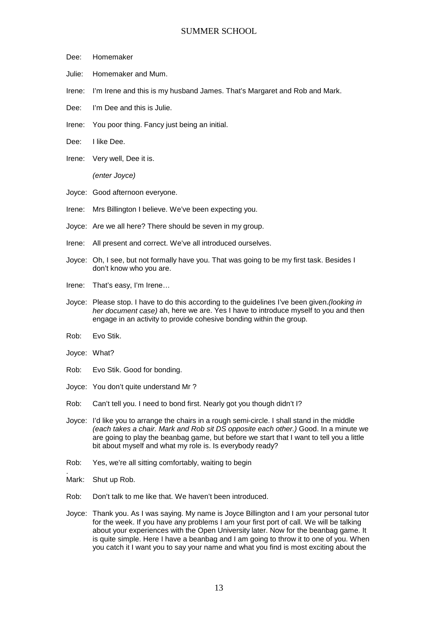- Dee: Homemaker
- Julie: Homemaker and Mum.
- Irene: I'm Irene and this is my husband James. That's Margaret and Rob and Mark.
- Dee: I'm Dee and this is Julie.
- Irene: You poor thing. Fancy just being an initial.
- Dee: I like Dee.
- Irene: Very well, Dee it is.

*(enter Joyce)*

- Joyce: Good afternoon everyone.
- Irene: Mrs Billington I believe. We've been expecting you.
- Joyce: Are we all here? There should be seven in my group.
- Irene: All present and correct. We've all introduced ourselves.
- Joyce: Oh, I see, but not formally have you. That was going to be my first task. Besides I don't know who you are.
- Irene: That's easy, I'm Irene…
- Joyce: Please stop. I have to do this according to the guidelines I've been given.*(looking in her document case)* ah, here we are. Yes I have to introduce myself to you and then engage in an activity to provide cohesive bonding within the group.
- Rob: Evo Stik.
- Joyce: What?
- Rob: Evo Stik. Good for bonding.
- Joyce: You don't quite understand Mr ?
- Rob: Can't tell you. I need to bond first. Nearly got you though didn't I?
- Joyce: I'd like you to arrange the chairs in a rough semi-circle. I shall stand in the middle *(each takes a chair. Mark and Rob sit DS opposite each other.)* Good. In a minute we are going to play the beanbag game, but before we start that I want to tell you a little bit about myself and what my role is. Is everybody ready?
- Rob: Yes, we're all sitting comfortably, waiting to begin
- Mark: Shut up Rob.
- Rob: Don't talk to me like that. We haven't been introduced.
- Joyce: Thank you. As I was saying. My name is Joyce Billington and I am your personal tutor for the week. If you have any problems I am your first port of call. We will be talking about your experiences with the Open University later. Now for the beanbag game. It is quite simple. Here I have a beanbag and I am going to throw it to one of you. When you catch it I want you to say your name and what you find is most exciting about the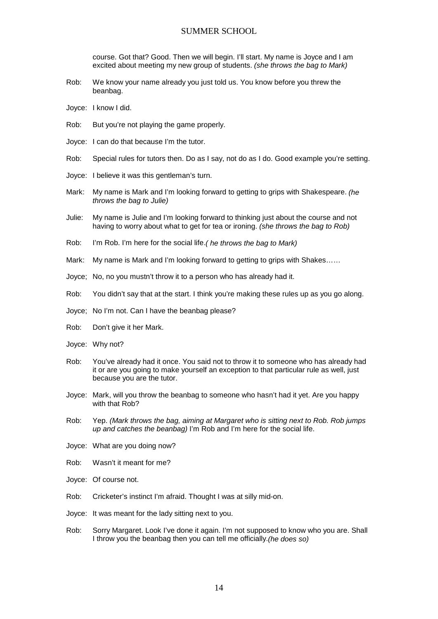course. Got that? Good. Then we will begin. I'll start. My name is Joyce and I am excited about meeting my new group of students. *(she throws the bag to Mark)*

- Rob: We know your name already you just told us. You know before you threw the beanbag.
- Joyce: I know I did.
- Rob: But you're not playing the game properly.
- Joyce: I can do that because I'm the tutor.
- Rob: Special rules for tutors then. Do as I say, not do as I do. Good example you're setting.
- Joyce: I believe it was this gentleman's turn.
- Mark: My name is Mark and I'm looking forward to getting to grips with Shakespeare. *(he throws the bag to Julie)*
- Julie: My name is Julie and I'm looking forward to thinking just about the course and not having to worry about what to get for tea or ironing. *(she throws the bag to Rob)*
- Rob: I'm Rob. I'm here for the social life.*( he throws the bag to Mark)*
- Mark: My name is Mark and I'm looking forward to getting to grips with Shakes……
- Joyce; No, no you mustn't throw it to a person who has already had it.
- Rob: You didn't say that at the start. I think you're making these rules up as you go along.
- Joyce; No I'm not. Can I have the beanbag please?
- Rob: Don't give it her Mark.
- Joyce: Why not?
- Rob: You've already had it once. You said not to throw it to someone who has already had it or are you going to make yourself an exception to that particular rule as well, just because you are the tutor.
- Joyce: Mark, will you throw the beanbag to someone who hasn't had it yet. Are you happy with that Rob?
- Rob: Yep. *(Mark throws the bag, aiming at Margaret who is sitting next to Rob. Rob jumps up and catches the beanbag)* I'm Rob and I'm here for the social life.
- Joyce: What are you doing now?
- Rob: Wasn't it meant for me?
- Joyce: Of course not.
- Rob: Cricketer's instinct I'm afraid. Thought I was at silly mid-on.
- Joyce: It was meant for the lady sitting next to you.
- Rob: Sorry Margaret. Look I've done it again. I'm not supposed to know who you are. Shall I throw you the beanbag then you can tell me officially.*(he does so)*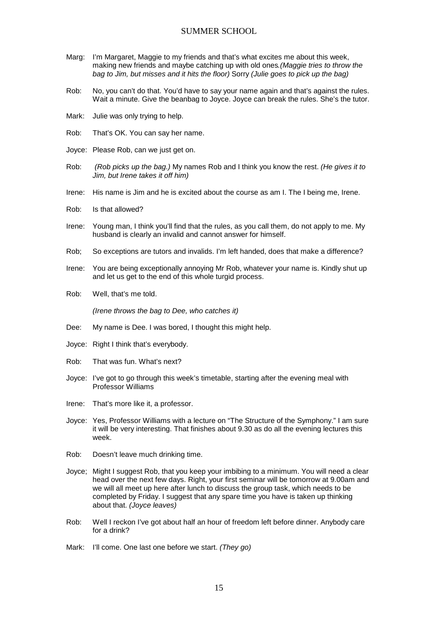- Marg: I'm Margaret, Maggie to my friends and that's what excites me about this week, making new friends and maybe catching up with old ones*.(Maggie tries to throw the bag to Jim, but misses and it hits the floor)* Sorry *(Julie goes to pick up the bag)*
- Rob: No, you can't do that. You'd have to say your name again and that's against the rules. Wait a minute. Give the beanbag to Joyce. Joyce can break the rules. She's the tutor.
- Mark: Julie was only trying to help.
- Rob: That's OK. You can say her name.
- Joyce: Please Rob, can we just get on.
- Rob: *(Rob picks up the bag.)* My names Rob and I think you know the rest. *(He gives it to Jim, but Irene takes it off him)*
- Irene: His name is Jim and he is excited about the course as am I. The I being me, Irene.
- Rob: Is that allowed?
- Irene: Young man, I think you'll find that the rules, as you call them, do not apply to me. My husband is clearly an invalid and cannot answer for himself.
- Rob; So exceptions are tutors and invalids. I'm left handed, does that make a difference?
- Irene: You are being exceptionally annoying Mr Rob, whatever your name is. Kindly shut up and let us get to the end of this whole turgid process.
- Rob: Well, that's me told.

*(Irene throws the bag to Dee, who catches it)*

- Dee: My name is Dee. I was bored, I thought this might help.
- Joyce: Right I think that's everybody.
- Rob: That was fun. What's next?
- Joyce: I've got to go through this week's timetable, starting after the evening meal with Professor Williams
- Irene: That's more like it, a professor.
- Joyce: Yes, Professor Williams with a lecture on "The Structure of the Symphony." I am sure it will be very interesting. That finishes about 9.30 as do all the evening lectures this week.
- Rob: Doesn't leave much drinking time.
- Joyce; Might I suggest Rob, that you keep your imbibing to a minimum. You will need a clear head over the next few days. Right, your first seminar will be tomorrow at 9.00am and we will all meet up here after lunch to discuss the group task, which needs to be completed by Friday. I suggest that any spare time you have is taken up thinking about that. *(Joyce leaves)*
- Rob: Well I reckon I've got about half an hour of freedom left before dinner. Anybody care for a drink?
- Mark: I'll come. One last one before we start. *(They go)*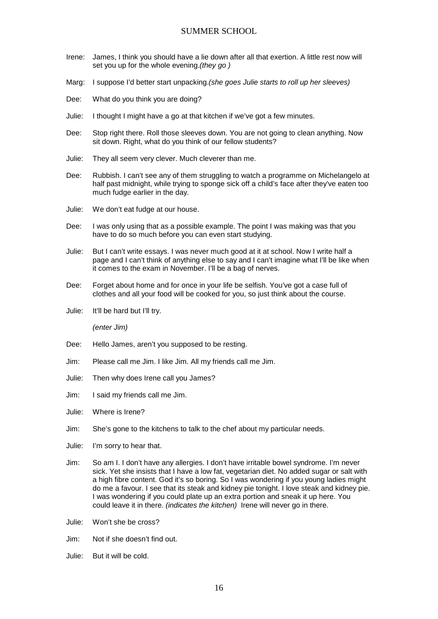- Irene: James, I think you should have a lie down after all that exertion. A little rest now will set you up for the whole evening.*(they go )*
- Marg: I suppose I'd better start unpacking.*(she goes Julie starts to roll up her sleeves)*
- Dee: What do you think you are doing?
- Julie: I thought I might have a go at that kitchen if we've got a few minutes.
- Dee: Stop right there. Roll those sleeves down. You are not going to clean anything. Now sit down. Right, what do you think of our fellow students?
- Julie: They all seem very clever. Much cleverer than me.
- Dee: Rubbish. I can't see any of them struggling to watch a programme on Michelangelo at half past midnight, while trying to sponge sick off a child's face after they've eaten too much fudge earlier in the day.
- Julie: We don't eat fudge at our house.
- Dee: I was only using that as a possible example. The point I was making was that you have to do so much before you can even start studying.
- Julie: But I can't write essays. I was never much good at it at school. Now I write half a page and I can't think of anything else to say and I can't imagine what I'll be like when it comes to the exam in November. I'll be a bag of nerves.
- Dee: Forget about home and for once in your life be selfish. You've got a case full of clothes and all your food will be cooked for you, so just think about the course.
- Julie: It'll be hard but I'll try.

*(enter Jim)*

- Dee: Hello James, aren't you supposed to be resting.
- Jim: Please call me Jim. I like Jim. All my friends call me Jim.
- Julie: Then why does Irene call you James?
- Jim: I said my friends call me Jim.
- Julie: Where is Irene?
- Jim: She's gone to the kitchens to talk to the chef about my particular needs.
- Julie: I'm sorry to hear that.
- Jim: So am I. I don't have any allergies. I don't have irritable bowel syndrome. I'm never sick. Yet she insists that I have a low fat, vegetarian diet. No added sugar or salt with a high fibre content. God it's so boring. So I was wondering if you young ladies might do me a favour. I see that its steak and kidney pie tonight. I love steak and kidney pie. I was wondering if you could plate up an extra portion and sneak it up here. You could leave it in there. *(indicates the kitchen)* Irene will never go in there.
- Julie: Won't she be cross?
- Jim: Not if she doesn't find out.
- Julie: But it will be cold.